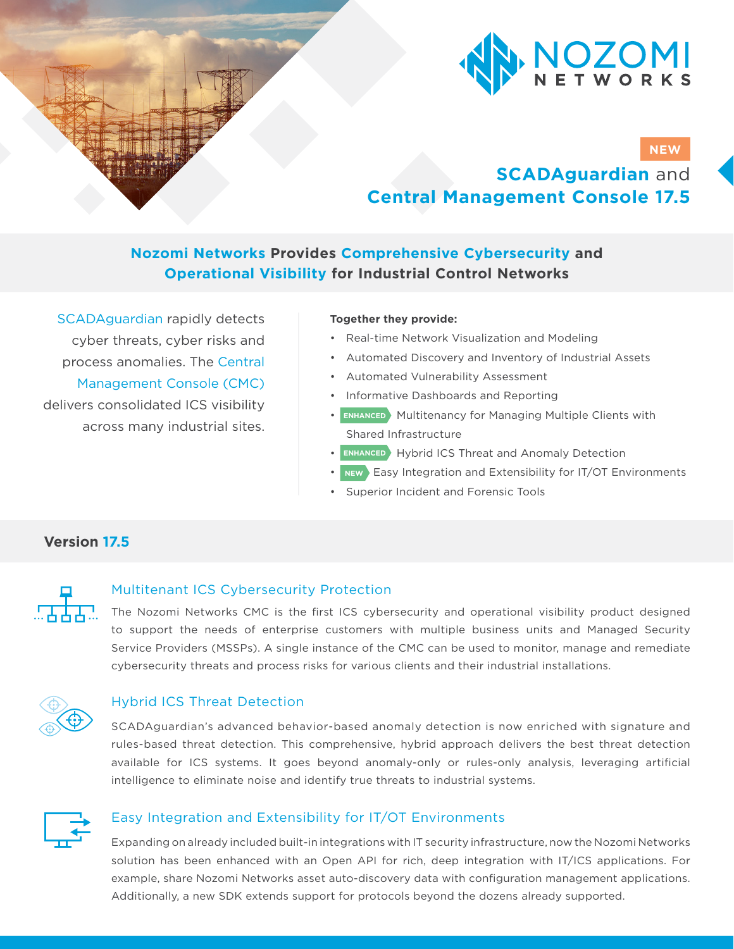

# **NEW**

# **SCADAguardian** and **Central Management Console 17.5**

# **Nozomi Networks Provides Comprehensive Cybersecurity and Operational Visibility for Industrial Control Networks**

SCADAguardian rapidly detects cyber threats, cyber risks and process anomalies. The Central Management Console (CMC) delivers consolidated ICS visibility across many industrial sites.

#### **Together they provide:**

- Real-time Network Visualization and Modeling
- Automated Discovery and Inventory of Industrial Assets
- Automated Vulnerability Assessment
- Informative Dashboards and Reporting
- **ENHANCED** Multitenancy for Managing Multiple Clients with Shared Infrastructure
- **ENHANCED** Hybrid ICS Threat and Anomaly Detection
- **NEW** Easy Integration and Extensibility for IT/OT Environments
- Superior Incident and Forensic Tools

# **Version 17.5**

## Multitenant ICS Cybersecurity Protection

The Nozomi Networks CMC is the first ICS cybersecurity and operational visibility product designed to support the needs of enterprise customers with multiple business units and Managed Security Service Providers (MSSPs). A single instance of the CMC can be used to monitor, manage and remediate cybersecurity threats and process risks for various clients and their industrial installations.



## Hybrid ICS Threat Detection

SCADAguardian's advanced behavior-based anomaly detection is now enriched with signature and rules-based threat detection. This comprehensive, hybrid approach delivers the best threat detection available for ICS systems. It goes beyond anomaly-only or rules-only analysis, leveraging artificial intelligence to eliminate noise and identify true threats to industrial systems.



### Easy Integration and Extensibility for IT/OT Environments

Expanding on already included built-in integrations with IT security infrastructure, now the Nozomi Networks solution has been enhanced with an Open API for rich, deep integration with IT/ICS applications. For example, share Nozomi Networks asset auto-discovery data with configuration management applications. Additionally, a new SDK extends support for protocols beyond the dozens already supported.